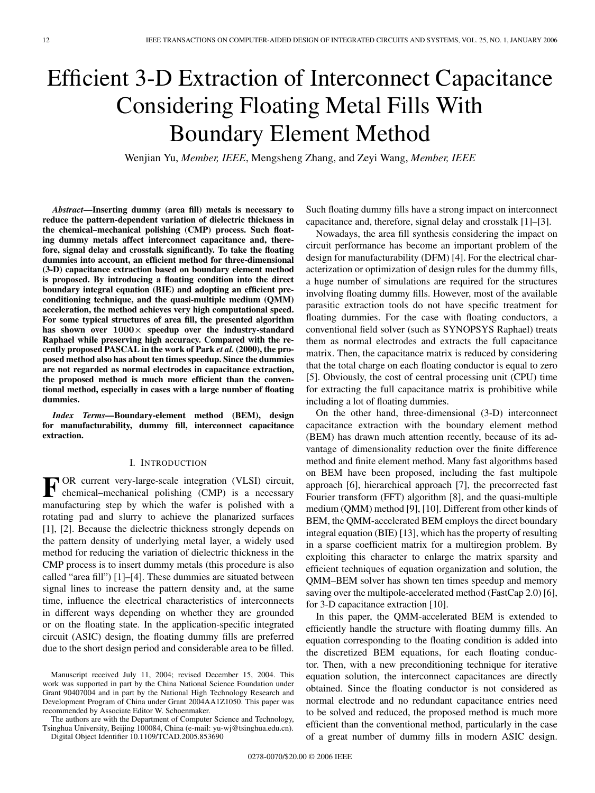# Efficient 3-D Extraction of Interconnect Capacitance Considering Floating Metal Fills With Boundary Element Method

Wenjian Yu, *Member, IEEE*, Mengsheng Zhang, and Zeyi Wang, *Member, IEEE*

*Abstract***—Inserting dummy (area fill) metals is necessary to reduce the pattern-dependent variation of dielectric thickness in the chemical–mechanical polishing (CMP) process. Such floating dummy metals affect interconnect capacitance and, therefore, signal delay and crosstalk significantly. To take the floating dummies into account, an efficient method for three-dimensional (3-D) capacitance extraction based on boundary element method is proposed. By introducing a floating condition into the direct boundary integral equation (BIE) and adopting an efficient preconditioning technique, and the quasi-multiple medium (QMM) acceleration, the method achieves very high computational speed. For some typical structures of area fill, the presented algorithm has shown over 1000***×* **speedup over the industry-standard Raphael while preserving high accuracy. Compared with the recently proposed PASCAL in the work of Park** *et al.* **(2000), the proposed method also has about ten times speedup. Since the dummies are not regarded as normal electrodes in capacitance extraction, the proposed method is much more efficient than the conventional method, especially in cases with a large number of floating dummies.**

*Index Terms***—Boundary-element method (BEM), design for manufacturability, dummy fill, interconnect capacitance extraction.**

### I. INTRODUCTION

**F** OR current very-large-scale integration (VLSI) circuit, chemical–mechanical polishing (CMP) is a necessary manufacturing step by which the wafer is polished with a rotating pad and slurry to achieve the planarized surfaces [1], [2]. Because the dielectric thickness strongly depends on the pattern density of underlying metal layer, a widely used method for reducing the variation of dielectric thickness in the CMP process is to insert dummy metals (this procedure is also called "area fill") [1]–[4]. These dummies are situated between signal lines to increase the pattern density and, at the same time, influence the electrical characteristics of interconnects in different ways depending on whether they are grounded or on the floating state. In the application-specific integrated circuit (ASIC) design, the floating dummy fills are preferred due to the short design period and considerable area to be filled.

The authors are with the Department of Computer Science and Technology, Tsinghua University, Beijing 100084, China (e-mail: yu-wj@tsinghua.edu.cn). Digital Object Identifier 10.1109/TCAD.2005.853690

Such floating dummy fills have a strong impact on interconnect capacitance and, therefore, signal delay and crosstalk [1]–[3].

Nowadays, the area fill synthesis considering the impact on circuit performance has become an important problem of the design for manufacturability (DFM) [4]. For the electrical characterization or optimization of design rules for the dummy fills, a huge number of simulations are required for the structures involving floating dummy fills. However, most of the available parasitic extraction tools do not have specific treatment for floating dummies. For the case with floating conductors, a conventional field solver (such as SYNOPSYS Raphael) treats them as normal electrodes and extracts the full capacitance matrix. Then, the capacitance matrix is reduced by considering that the total charge on each floating conductor is equal to zero [5]. Obviously, the cost of central processing unit (CPU) time for extracting the full capacitance matrix is prohibitive while including a lot of floating dummies.

On the other hand, three-dimensional (3-D) interconnect capacitance extraction with the boundary element method (BEM) has drawn much attention recently, because of its advantage of dimensionality reduction over the finite difference method and finite element method. Many fast algorithms based on BEM have been proposed, including the fast multipole approach [6], hierarchical approach [7], the precorrected fast Fourier transform (FFT) algorithm [8], and the quasi-multiple medium (QMM) method [9], [10]. Different from other kinds of BEM, the QMM-accelerated BEM employs the direct boundary integral equation (BIE) [13], which has the property of resulting in a sparse coefficient matrix for a multiregion problem. By exploiting this character to enlarge the matrix sparsity and efficient techniques of equation organization and solution, the QMM–BEM solver has shown ten times speedup and memory saving over the multipole-accelerated method (FastCap 2.0) [6], for 3-D capacitance extraction [10].

In this paper, the QMM-accelerated BEM is extended to efficiently handle the structure with floating dummy fills. An equation corresponding to the floating condition is added into the discretized BEM equations, for each floating conductor. Then, with a new preconditioning technique for iterative equation solution, the interconnect capacitances are directly obtained. Since the floating conductor is not considered as normal electrode and no redundant capacitance entries need to be solved and reduced, the proposed method is much more efficient than the conventional method, particularly in the case of a great number of dummy fills in modern ASIC design.

Manuscript received July 11, 2004; revised December 15, 2004. This work was supported in part by the China National Science Foundation under Grant 90407004 and in part by the National High Technology Research and Development Program of China under Grant 2004AA1Z1050. This paper was recommended by Associate Editor W. Schoenmaker.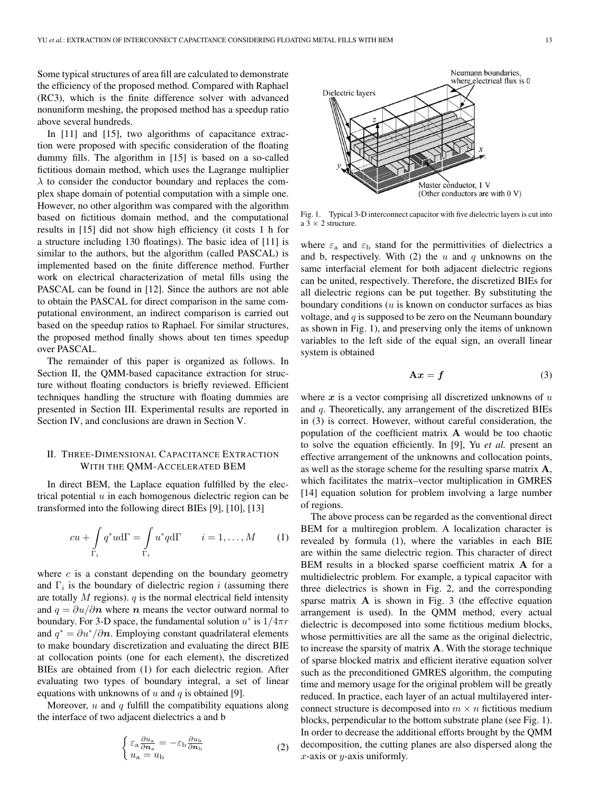Some typical structures of area fill are calculated to demonstrate the efficiency of the proposed method. Compared with Raphael (RC3), which is the finite difference solver with advanced nonuniform meshing, the proposed method has a speedup ratio above several hundreds.

In [11] and [15], two algorithms of capacitance extraction were proposed with specific consideration of the floating dummy fills. The algorithm in [15] is based on a so-called fictitious domain method, which uses the Lagrange multiplier  $\lambda$  to consider the conductor boundary and replaces the complex shape domain of potential computation with a simple one. However, no other algorithm was compared with the algorithm based on fictitious domain method, and the computational results in [15] did not show high efficiency (it costs 1 h for a structure including 130 floatings). The basic idea of [11] is similar to the authors, but the algorithm (called PASCAL) is implemented based on the finite difference method. Further work on electrical characterization of metal fills using the PASCAL can be found in [12]. Since the authors are not able to obtain the PASCAL for direct comparison in the same computational environment, an indirect comparison is carried out based on the speedup ratios to Raphael. For similar structures, the proposed method finally shows about ten times speedup over PASCAL.

The remainder of this paper is organized as follows. In Section II, the QMM-based capacitance extraction for structure without floating conductors is briefly reviewed. Efficient techniques handling the structure with floating dummies are presented in Section III. Experimental results are reported in Section IV, and conclusions are drawn in Section V.

# II. THREE-DIMENSIONAL CAPACITANCE EXTRACTION WITH THE QMM-ACCELERATED BEM

In direct BEM, the Laplace equation fulfilled by the electrical potential  $u$  in each homogenous dielectric region can be transformed into the following direct BIEs [9], [10], [13]

$$
cu + \int\limits_{\Gamma_i} q^*u d\Gamma = \int\limits_{\Gamma_i} u^*q d\Gamma \qquad i = 1, ..., M \qquad (1)
$$

where  $c$  is a constant depending on the boundary geometry and  $\Gamma_i$  is the boundary of dielectric region i (assuming there are totally  $M$  regions).  $q$  is the normal electrical field intensity and  $q = \partial u / \partial n$  where *n* means the vector outward normal to boundary. For 3-D space, the fundamental solution  $u^*$  is  $1/4\pi r$ and  $q^* = \partial u^* / \partial n$ . Employing constant quadrilateral elements to make boundary discretization and evaluating the direct BIE at collocation points (one for each element), the discretized BIEs are obtained from (1) for each dielectric region. After evaluating two types of boundary integral, a set of linear equations with unknowns of  $u$  and  $q$  is obtained [9].

Moreover,  $u$  and  $q$  fulfill the compatibility equations along the interface of two adjacent dielectrics a and b

$$
\begin{cases} \varepsilon_{\rm a} \frac{\partial u_{\rm a}}{\partial n_{\rm a}} = -\varepsilon_{\rm b} \frac{\partial u_{\rm b}}{\partial n_{\rm b}}\\ u_{\rm a} = u_{\rm b} \end{cases} \tag{2}
$$



Fig. 1. Typical 3-D interconnect capacitor with five dielectric layers is cut into a 3 *×* 2 structure.

where  $\varepsilon_a$  and  $\varepsilon_b$  stand for the permittivities of dielectrics a and b, respectively. With  $(2)$  the u and q unknowns on the same interfacial element for both adjacent dielectric regions can be united, respectively. Therefore, the discretized BIEs for all dielectric regions can be put together. By substituting the boundary conditions  $(u$  is known on conductor surfaces as bias voltage, and  $q$  is supposed to be zero on the Neumann boundary as shown in Fig. 1), and preserving only the items of unknown variables to the left side of the equal sign, an overall linear system is obtained

$$
\mathbf{A}\mathbf{x} = \mathbf{f} \tag{3}
$$

where  $x$  is a vector comprising all discretized unknowns of  $u$ and q. Theoretically, any arrangement of the discretized BIEs in (3) is correct. However, without careful consideration, the population of the coefficient matrix **A** would be too chaotic to solve the equation efficiently. In [9], Yu *et al.* present an effective arrangement of the unknowns and collocation points, as well as the storage scheme for the resulting sparse matrix **A**, which facilitates the matrix–vector multiplication in GMRES [14] equation solution for problem involving a large number of regions.

The above process can be regarded as the conventional direct BEM for a multiregion problem. A localization character is revealed by formula (1), where the variables in each BIE are within the same dielectric region. This character of direct BEM results in a blocked sparse coefficient matrix **A** for a multidielectric problem. For example, a typical capacitor with three dielectrics is shown in Fig. 2, and the corresponding sparse matrix **A** is shown in Fig. 3 (the effective equation arrangement is used). In the QMM method, every actual dielectric is decomposed into some fictitious medium blocks, whose permittivities are all the same as the original dielectric, to increase the sparsity of matrix **A**. With the storage technique of sparse blocked matrix and efficient iterative equation solver such as the preconditioned GMRES algorithm, the computing time and memory usage for the original problem will be greatly reduced. In practice, each layer of an actual multilayered interconnect structure is decomposed into  $m \times n$  fictitious medium blocks, perpendicular to the bottom substrate plane (see Fig. 1). In order to decrease the additional efforts brought by the QMM decomposition, the cutting planes are also dispersed along the  $x$ -axis or  $y$ -axis uniformly.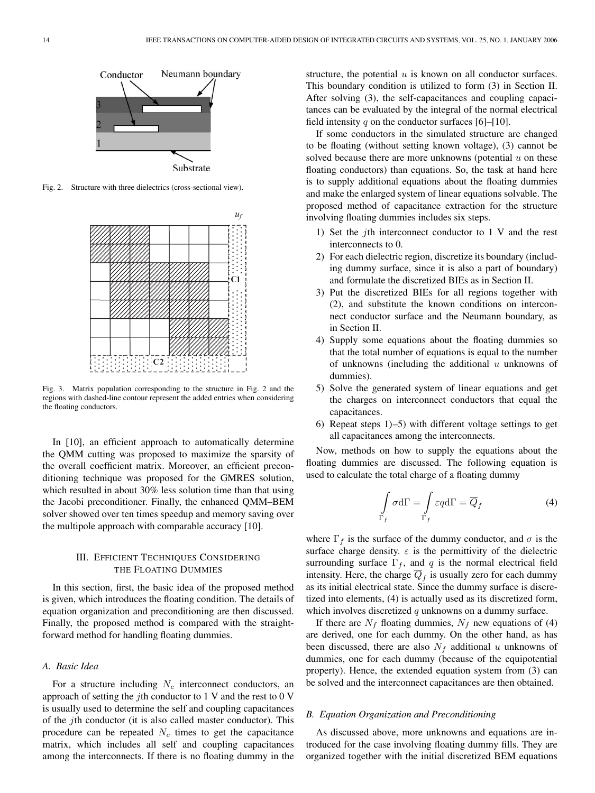

Fig. 2. Structure with three dielectrics (cross-sectional view).



Fig. 3. Matrix population corresponding to the structure in Fig. 2 and the regions with dashed-line contour represent the added entries when considering the floating conductors.

In [10], an efficient approach to automatically determine the QMM cutting was proposed to maximize the sparsity of the overall coefficient matrix. Moreover, an efficient preconditioning technique was proposed for the GMRES solution, which resulted in about 30% less solution time than that using the Jacobi preconditioner. Finally, the enhanced QMM–BEM solver showed over ten times speedup and memory saving over the multipole approach with comparable accuracy [10].

## III. EFFICIENT TECHNIQUES CONSIDERING THE FLOATING DUMMIES

In this section, first, the basic idea of the proposed method is given, which introduces the floating condition. The details of equation organization and preconditioning are then discussed. Finally, the proposed method is compared with the straightforward method for handling floating dummies.

# *A. Basic Idea*

For a structure including  $N_c$  interconnect conductors, an approach of setting the jth conductor to 1 V and the rest to 0 V is usually used to determine the self and coupling capacitances of the jth conductor (it is also called master conductor). This procedure can be repeated  $N_c$  times to get the capacitance matrix, which includes all self and coupling capacitances among the interconnects. If there is no floating dummy in the structure, the potential  $u$  is known on all conductor surfaces. This boundary condition is utilized to form (3) in Section II. After solving (3), the self-capacitances and coupling capacitances can be evaluated by the integral of the normal electrical field intensity q on the conductor surfaces [6]–[10].

If some conductors in the simulated structure are changed to be floating (without setting known voltage), (3) cannot be solved because there are more unknowns (potential  $u$  on these floating conductors) than equations. So, the task at hand here is to supply additional equations about the floating dummies and make the enlarged system of linear equations solvable. The proposed method of capacitance extraction for the structure involving floating dummies includes six steps.

- 1) Set the jth interconnect conductor to 1 V and the rest interconnects to 0.
- 2) For each dielectric region, discretize its boundary (including dummy surface, since it is also a part of boundary) and formulate the discretized BIEs as in Section II.
- 3) Put the discretized BIEs for all regions together with (2), and substitute the known conditions on interconnect conductor surface and the Neumann boundary, as in Section II.
- 4) Supply some equations about the floating dummies so that the total number of equations is equal to the number of unknowns (including the additional  $u$  unknowns of dummies).
- 5) Solve the generated system of linear equations and get the charges on interconnect conductors that equal the capacitances.
- 6) Repeat steps 1)–5) with different voltage settings to get all capacitances among the interconnects.

Now, methods on how to supply the equations about the floating dummies are discussed. The following equation is used to calculate the total charge of a floating dummy

$$
\int_{\Gamma_f} \sigma d\Gamma = \int_{\Gamma_f} \varepsilon q d\Gamma = \overline{Q}_f \tag{4}
$$

where  $\Gamma_f$  is the surface of the dummy conductor, and  $\sigma$  is the surface charge density.  $\varepsilon$  is the permittivity of the dielectric surrounding surface  $\Gamma_f$ , and q is the normal electrical field intensity. Here, the charge  $\overline{Q}_f$  is usually zero for each dummy as its initial electrical state. Since the dummy surface is discretized into elements, (4) is actually used as its discretized form, which involves discretized  $q$  unknowns on a dummy surface.

If there are  $N_f$  floating dummies,  $N_f$  new equations of (4) are derived, one for each dummy. On the other hand, as has been discussed, there are also  $N_f$  additional u unknowns of dummies, one for each dummy (because of the equipotential property). Hence, the extended equation system from (3) can be solved and the interconnect capacitances are then obtained.

#### *B. Equation Organization and Preconditioning*

Γ*<sup>f</sup>*

As discussed above, more unknowns and equations are introduced for the case involving floating dummy fills. They are organized together with the initial discretized BEM equations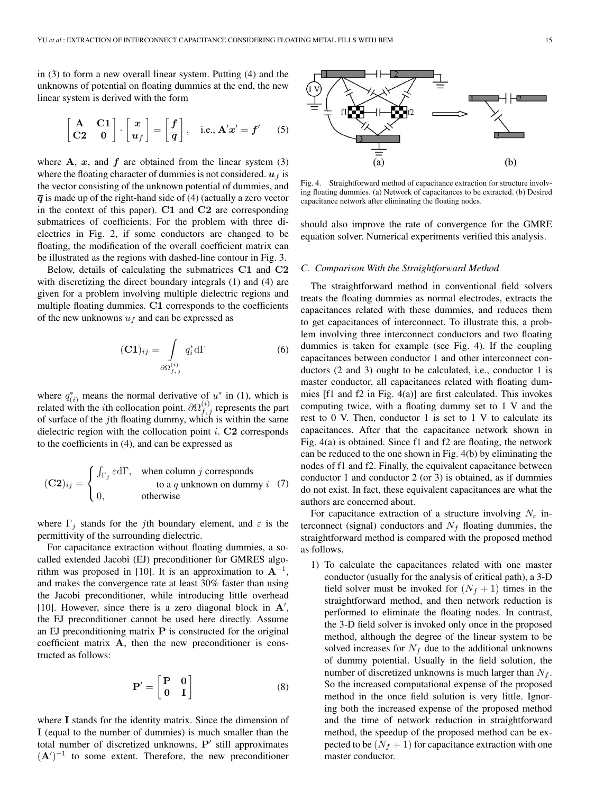in (3) to form a new overall linear system. Putting (4) and the unknowns of potential on floating dummies at the end, the new linear system is derived with the form

$$
\begin{bmatrix} A & C1 \\ C2 & 0 \end{bmatrix} \cdot \begin{bmatrix} x \\ u_f \end{bmatrix} = \begin{bmatrix} f \\ \overline{q} \end{bmatrix}, \text{ i.e., } A'x' = f' \quad (5)
$$

where  $A$ ,  $x$ , and  $f$  are obtained from the linear system (3) where the floating character of dummies is not considered.  $u_f$  is the vector consisting of the unknown potential of dummies, and  $\overline{q}$  is made up of the right-hand side of (4) (actually a zero vector in the context of this paper). **C1** and **C2** are corresponding submatrices of coefficients. For the problem with three dielectrics in Fig. 2, if some conductors are changed to be floating, the modification of the overall coefficient matrix can be illustrated as the regions with dashed-line contour in Fig. 3.

Below, details of calculating the submatrices **C1** and **C2** with discretizing the direct boundary integrals (1) and (4) are given for a problem involving multiple dielectric regions and multiple floating dummies. **C1** corresponds to the coefficients of the new unknowns  $u_f$  and can be expressed as

$$
(\mathbf{C1})_{ij} = \int\limits_{\partial \Omega_{f,j}^{(i)}} q_i^* d\Gamma
$$
 (6)

where  $q_{(i)}^*$  means the normal derivative of  $u^*$  in (1), which is related with the *i*th collocation point.  $\partial \Omega_{f,j}^{(i)}$  represents the part of surface of the *j*th floating dummy, which is within the same dielectric region with the collocation point i. **C2** corresponds to the coefficients in (4), and can be expressed as

$$
(\mathbf{C2})_{ij} = \begin{cases} \int_{\Gamma_j} \varepsilon d\Gamma, & \text{when column } j \text{ corresponds} \\ 0, & \text{otherwise} \end{cases}
$$
 (7)

where  $\Gamma_i$  stands for the jth boundary element, and  $\varepsilon$  is the permittivity of the surrounding dielectric.

For capacitance extraction without floating dummies, a socalled extended Jacobi (EJ) preconditioner for GMRES algorithm was proposed in [10]. It is an approximation to  $A^{-1}$ , and makes the convergence rate at least 30% faster than using the Jacobi preconditioner, while introducing little overhead [10]. However, since there is a zero diagonal block in **A** , the EJ preconditioner cannot be used here directly. Assume an EJ preconditioning matrix **P** is constructed for the original coefficient matrix **A**, then the new preconditioner is constructed as follows:

$$
\mathbf{P}' = \begin{bmatrix} \mathbf{P} & \mathbf{0} \\ \mathbf{0} & \mathbf{I} \end{bmatrix} \tag{8}
$$

where **I** stands for the identity matrix. Since the dimension of **I** (equal to the number of dummies) is much smaller than the total number of discretized unknowns,  $P'$  still approximates  $({\bf A}')^{-1}$  to some extent. Therefore, the new preconditioner

Fig. 4. Straightforward method of capacitance extraction for structure involving floating dummies. (a) Network of capacitances to be extracted. (b) Desired capacitance network after eliminating the floating nodes.

should also improve the rate of convergence for the GMRE equation solver. Numerical experiments verified this analysis.

## *C. Comparison With the Straightforward Method*

The straightforward method in conventional field solvers treats the floating dummies as normal electrodes, extracts the capacitances related with these dummies, and reduces them to get capacitances of interconnect. To illustrate this, a problem involving three interconnect conductors and two floating dummies is taken for example (see Fig. 4). If the coupling capacitances between conductor 1 and other interconnect conductors (2 and 3) ought to be calculated, i.e., conductor 1 is master conductor, all capacitances related with floating dummies [f1 and f2 in Fig. 4(a)] are first calculated. This invokes computing twice, with a floating dummy set to 1 V and the rest to  $0$  V. Then, conductor  $1$  is set to  $1$  V to calculate its capacitances. After that the capacitance network shown in Fig. 4(a) is obtained. Since f1 and f2 are floating, the network can be reduced to the one shown in Fig. 4(b) by eliminating the nodes of f1 and f2. Finally, the equivalent capacitance between conductor 1 and conductor 2 (or 3) is obtained, as if dummies do not exist. In fact, these equivalent capacitances are what the authors are concerned about.

For capacitance extraction of a structure involving  $N_c$  interconnect (signal) conductors and  $N_f$  floating dummies, the straightforward method is compared with the proposed method as follows.

1) To calculate the capacitances related with one master conductor (usually for the analysis of critical path), a 3-D field solver must be invoked for  $(N_f + 1)$  times in the straightforward method, and then network reduction is performed to eliminate the floating nodes. In contrast, the 3-D field solver is invoked only once in the proposed method, although the degree of the linear system to be solved increases for  $N_f$  due to the additional unknowns of dummy potential. Usually in the field solution, the number of discretized unknowns is much larger than  $N_f$ . So the increased computational expense of the proposed method in the once field solution is very little. Ignoring both the increased expense of the proposed method and the time of network reduction in straightforward method, the speedup of the proposed method can be expected to be  $(N_f + 1)$  for capacitance extraction with one master conductor.

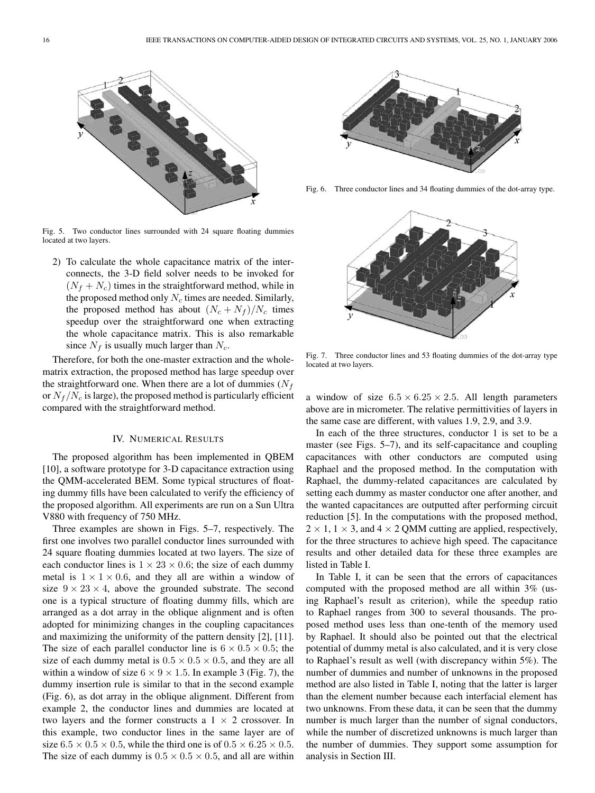

Fig. 5. Two conductor lines surrounded with 24 square floating dummies located at two layers.

2) To calculate the whole capacitance matrix of the interconnects, the 3-D field solver needs to be invoked for  $(N_f + N_c)$  times in the straightforward method, while in the proposed method only  $N_c$  times are needed. Similarly, the proposed method has about  $(N_c + N_f)/N_c$  times speedup over the straightforward one when extracting the whole capacitance matrix. This is also remarkable since  $N_f$  is usually much larger than  $N_c$ .

Therefore, for both the one-master extraction and the wholematrix extraction, the proposed method has large speedup over the straightforward one. When there are a lot of dummies  $(N_f)$ or  $N_f/N_c$  is large), the proposed method is particularly efficient compared with the straightforward method.

#### IV. NUMERICAL RESULTS

The proposed algorithm has been implemented in QBEM [10], a software prototype for 3-D capacitance extraction using the QMM-accelerated BEM. Some typical structures of floating dummy fills have been calculated to verify the efficiency of the proposed algorithm. All experiments are run on a Sun Ultra V880 with frequency of 750 MHz.

Three examples are shown in Figs. 5–7, respectively. The first one involves two parallel conductor lines surrounded with 24 square floating dummies located at two layers. The size of each conductor lines is  $1 \times 23 \times 0.6$ ; the size of each dummy metal is  $1 \times 1 \times 0.6$ , and they all are within a window of size  $9 \times 23 \times 4$ , above the grounded substrate. The second one is a typical structure of floating dummy fills, which are arranged as a dot array in the oblique alignment and is often adopted for minimizing changes in the coupling capacitances and maximizing the uniformity of the pattern density [2], [11]. The size of each parallel conductor line is  $6 \times 0.5 \times 0.5$ ; the size of each dummy metal is  $0.5 \times 0.5 \times 0.5$ , and they are all within a window of size  $6 \times 9 \times 1.5$ . In example 3 (Fig. 7), the dummy insertion rule is similar to that in the second example (Fig. 6), as dot array in the oblique alignment. Different from example 2, the conductor lines and dummies are located at two layers and the former constructs a  $1 \times 2$  crossover. In this example, two conductor lines in the same layer are of size  $6.5 \times 0.5 \times 0.5$ , while the third one is of  $0.5 \times 6.25 \times 0.5$ . The size of each dummy is  $0.5 \times 0.5 \times 0.5$ , and all are within



Fig. 6. Three conductor lines and 34 floating dummies of the dot-array type.



Fig. 7. Three conductor lines and 53 floating dummies of the dot-array type located at two layers.

a window of size  $6.5 \times 6.25 \times 2.5$ . All length parameters above are in micrometer. The relative permittivities of layers in the same case are different, with values 1.9, 2.9, and 3.9.

In each of the three structures, conductor 1 is set to be a master (see Figs. 5–7), and its self-capacitance and coupling capacitances with other conductors are computed using Raphael and the proposed method. In the computation with Raphael, the dummy-related capacitances are calculated by setting each dummy as master conductor one after another, and the wanted capacitances are outputted after performing circuit reduction [5]. In the computations with the proposed method,  $2 \times 1$ ,  $1 \times 3$ , and  $4 \times 2$  QMM cutting are applied, respectively, for the three structures to achieve high speed. The capacitance results and other detailed data for these three examples are listed in Table I.

In Table I, it can be seen that the errors of capacitances computed with the proposed method are all within 3% (using Raphael's result as criterion), while the speedup ratio to Raphael ranges from 300 to several thousands. The proposed method uses less than one-tenth of the memory used by Raphael. It should also be pointed out that the electrical potential of dummy metal is also calculated, and it is very close to Raphael's result as well (with discrepancy within 5%). The number of dummies and number of unknowns in the proposed method are also listed in Table I, noting that the latter is larger than the element number because each interfacial element has two unknowns. From these data, it can be seen that the dummy number is much larger than the number of signal conductors, while the number of discretized unknowns is much larger than the number of dummies. They support some assumption for analysis in Section III.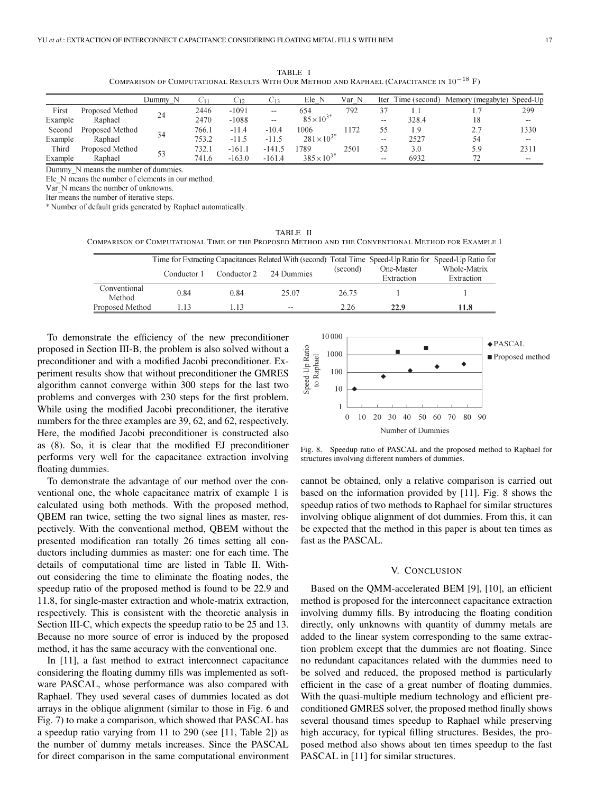TABLE I COMPARISON OF COMPUTATIONAL RESULTS WITH OUR METHOD AND RAPHAEL (CAPACITANCE IN 10*−*<sup>18</sup> F)

|         |                 | Dummy |       |          | $\sim12$      | Ele N               | Var N | Iter          | Time (second) | Memory (megabyte) | Speed-Up |
|---------|-----------------|-------|-------|----------|---------------|---------------------|-------|---------------|---------------|-------------------|----------|
| First   | Proposed Method | 24    | 2446  | $-1091$  | --            | 654                 | 792   |               |               |                   | 299      |
| Example | Raphael         |       | 2470  | $-1088$  | $\sim$ $\sim$ | $85\times10^3$      |       | $\sim$ $\sim$ | 328.4         |                   | $\sim$   |
| Second  | Proposed Method |       | 766.1 | $-11.4$  | $-10.4$       | 1006                | ' 172 |               | 1.9           | 27<br><u>، ،</u>  | 1330     |
| Example | Raphael         | 34    | 753.2 | $-11.5$  | $-11.5$       | $281 \times 10^{3}$ |       | $- -$         | 2527          | 54                | $\sim$   |
| Third   | Proposed Method |       | 732.1 | $-161.1$ | $-141.5$      | 1789                | 2501  |               | 3.0           | 5.9               | 2311     |
| Example | Raphael         | 53    | 741.6 | $-163.0$ | $-161.4$      | $385 \times 10^{3}$ |       | $- -$         | 6932          |                   | $- -$    |

Dummy N means the number of dummies.

Ele N means the number of elements in our method.

Var N means the number of unknowns.

Iter means the number of iterative steps.

\* Number of default grids generated by Raphael automatically.

TABLE II COMPARISON OF COMPUTATIONAL TIME OF THE PROPOSED METHOD AND THE CONVENTIONAL METHOD FOR EXAMPLE 1

|                        |             |             | Time for Extracting Capacitances Related With (second) Total Time Speed-Up Ratio for Speed-Up Ratio for |          |            | Whole-Matrix<br>Extraction |  |
|------------------------|-------------|-------------|---------------------------------------------------------------------------------------------------------|----------|------------|----------------------------|--|
|                        | Conductor 1 | Conductor 2 | 24 Dummies                                                                                              | (second) | One-Master |                            |  |
|                        |             |             |                                                                                                         |          | Extraction |                            |  |
| Conventional<br>Method | 0.84        | 0.84        | 25.07                                                                                                   | 26.75    |            |                            |  |
| Proposed Method        |             | l 13        | $-$                                                                                                     | 2.26     | 22.9       | 11.8                       |  |

To demonstrate the efficiency of the new preconditioner proposed in Section III-B, the problem is also solved without a preconditioner and with a modified Jacobi preconditioner. Experiment results show that without preconditioner the GMRES algorithm cannot converge within 300 steps for the last two problems and converges with 230 steps for the first problem. While using the modified Jacobi preconditioner, the iterative numbers for the three examples are 39, 62, and 62, respectively. Here, the modified Jacobi preconditioner is constructed also as (8). So, it is clear that the modified EJ preconditioner performs very well for the capacitance extraction involving floating dummies.

To demonstrate the advantage of our method over the conventional one, the whole capacitance matrix of example 1 is calculated using both methods. With the proposed method, QBEM ran twice, setting the two signal lines as master, respectively. With the conventional method, QBEM without the presented modification ran totally 26 times setting all conductors including dummies as master: one for each time. The details of computational time are listed in Table II. Without considering the time to eliminate the floating nodes, the speedup ratio of the proposed method is found to be 22.9 and 11.8, for single-master extraction and whole-matrix extraction, respectively. This is consistent with the theoretic analysis in Section III-C, which expects the speedup ratio to be 25 and 13. Because no more source of error is induced by the proposed method, it has the same accuracy with the conventional one.

In [11], a fast method to extract interconnect capacitance considering the floating dummy fills was implemented as software PASCAL, whose performance was also compared with Raphael. They used several cases of dummies located as dot arrays in the oblique alignment (similar to those in Fig. 6 and Fig. 7) to make a comparison, which showed that PASCAL has a speedup ratio varying from 11 to 290 (see [11, Table 2]) as the number of dummy metals increases. Since the PASCAL for direct comparison in the same computational environment



Fig. 8. Speedup ratio of PASCAL and the proposed method to Raphael for structures involving different numbers of dummies.

cannot be obtained, only a relative comparison is carried out based on the information provided by [11]. Fig. 8 shows the speedup ratios of two methods to Raphael for similar structures involving oblique alignment of dot dummies. From this, it can be expected that the method in this paper is about ten times as fast as the PASCAL.

#### V. CONCLUSION

Based on the QMM-accelerated BEM [9], [10], an efficient method is proposed for the interconnect capacitance extraction involving dummy fills. By introducing the floating condition directly, only unknowns with quantity of dummy metals are added to the linear system corresponding to the same extraction problem except that the dummies are not floating. Since no redundant capacitances related with the dummies need to be solved and reduced, the proposed method is particularly efficient in the case of a great number of floating dummies. With the quasi-multiple medium technology and efficient preconditioned GMRES solver, the proposed method finally shows several thousand times speedup to Raphael while preserving high accuracy, for typical filling structures. Besides, the proposed method also shows about ten times speedup to the fast PASCAL in [11] for similar structures.